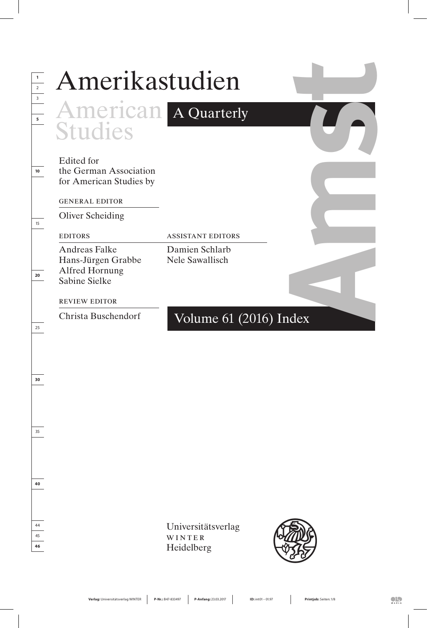Universitätsverlag WINTER Heidelberg



**40**

44 45 **46**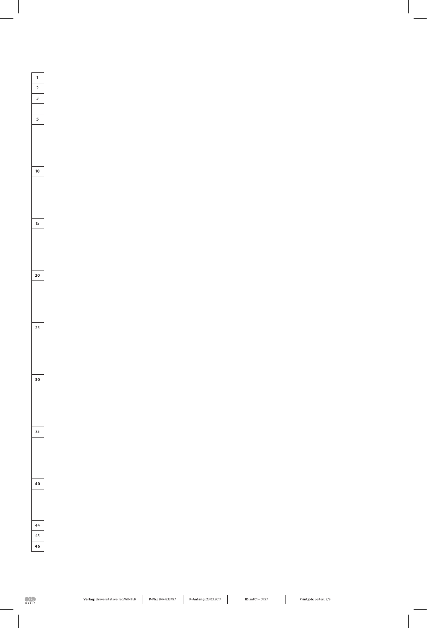$\sum_{n \text{ to } n}$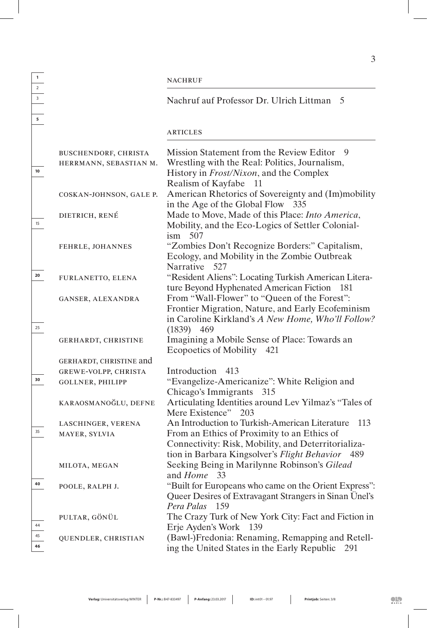$\begin{array}{|c|c|}\hline \rule{0cm}{1.2ex}\rule{0cm}{2.2ex}\rule{0cm}{2.2ex}\rule{0cm}{2.2ex}\rule{0cm}{2.2ex}\rule{0cm}{2.2ex}\rule{0cm}{2.2ex}\rule{0cm}{2.2ex}\rule{0cm}{2.2ex}\rule{0cm}{2.2ex}\rule{0cm}{2.2ex}\rule{0cm}{2.2ex}\rule{0cm}{2.2ex}\rule{0cm}{2.2ex}\rule{0cm}{2.2ex}\rule{0cm}{2.2ex}\rule{0cm}{2.2ex}\rule{0cm}{2.2ex}\rule{0cm}{2.2ex}\rule{0cm}{2.2ex}\rule{0cm}{2$ 

 $\frac{1}{10}$ 

 $15$ 

 $\overline{20}$ 

 $\overline{25}$ 

 $\overline{30}$ 

 $\frac{1}{35}$ 

 $40$ 

 $\frac{\boxed{44}}{\boxed{45}}$   $\boxed{45}$ 

Nachruf auf Professor Dr. Ulrich Littman 5

## **ARTICLES**

| BUSCHENDORF, CHRISTA<br>HERRMANN, SEBASTIAN M. | Mission Statement from the Review Editor<br>9<br>Wrestling with the Real: Politics, Journalism,<br>History in <i>Frost/Nixon</i> , and the Complex<br>Realism of Kayfabe<br>-11 |
|------------------------------------------------|---------------------------------------------------------------------------------------------------------------------------------------------------------------------------------|
| COSKAN-JOHNSON, GALE P.                        | American Rhetorics of Sovereignty and (Im)mobility<br>in the Age of the Global Flow 335                                                                                         |
| DIETRICH, RENÉ                                 | Made to Move, Made of this Place: Into America,<br>Mobility, and the Eco-Logics of Settler Colonial-<br>$\text{ism}$ 507                                                        |
| FEHRLE, JOHANNES                               | "Zombies Don't Recognize Borders:" Capitalism,<br>Ecology, and Mobility in the Zombie Outbreak<br>Narrative 527                                                                 |
| FURLANETTO, ELENA                              | "Resident Aliens": Locating Turkish American Litera-<br>ture Beyond Hyphenated American Fiction<br>181                                                                          |
| GANSER, ALEXANDRA                              | From "Wall-Flower" to "Oueen of the Forest":<br>Frontier Migration, Nature, and Early Ecofeminism<br>in Caroline Kirkland's A New Home, Who'll Follow?<br>$(1839)$ 469          |
| GERHARDT, CHRISTINE                            | Imagining a Mobile Sense of Place: Towards an<br>Ecopoetics of Mobility 421                                                                                                     |
| <b>GERHARDT, CHRISTINE and</b>                 |                                                                                                                                                                                 |
| <b>GREWE-VOLPP, CHRISTA</b>                    | Introduction 413                                                                                                                                                                |
| GOLLNER, PHILIPP                               | "Evangelize-Americanize": White Religion and<br>Chicago's Immigrants 315                                                                                                        |
| KARAOSMANOĞLU, DEFNE                           | Articulating Identities around Lev Yilmaz's "Tales of<br>Mere Existence" 203                                                                                                    |
| LASCHINGER, VERENA                             | An Introduction to Turkish-American Literature<br>113                                                                                                                           |
| MAYER, SYLVIA                                  | From an Ethics of Proximity to an Ethics of                                                                                                                                     |
|                                                | Connectivity: Risk, Mobility, and Deterritorializa-<br>tion in Barbara Kingsolver's Flight Behavior 489                                                                         |
| MILOTA, MEGAN                                  | Seeking Being in Marilynne Robinson's Gilead<br>and <i>Home</i> 33                                                                                                              |
| POOLE, RALPH J.                                | "Built for Europeans who came on the Orient Express":<br>Queer Desires of Extravagant Strangers in Sinan Ünel's<br>Pera Palas 159                                               |
| PULTAR, GÖNÜL                                  | The Crazy Turk of New York City: Fact and Fiction in<br>Erje Ayden's Work<br>139                                                                                                |
| <b>QUENDLER, CHRISTIAN</b>                     | (Bawl-)Fredonia: Renaming, Remapping and Retell-<br>ing the United States in the Early Republic<br>291                                                                          |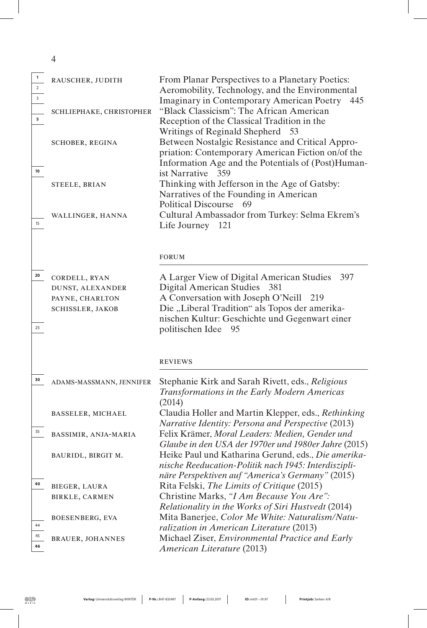|                                           | 4                                                                        |                                                                                                                                                                                                                                                                |
|-------------------------------------------|--------------------------------------------------------------------------|----------------------------------------------------------------------------------------------------------------------------------------------------------------------------------------------------------------------------------------------------------------|
| $\overline{2}$<br>$\overline{\mathbf{3}}$ | RAUSCHER, JUDITH                                                         | From Planar Perspectives to a Planetary Poetics:<br>Aeromobility, Technology, and the Environmental                                                                                                                                                            |
| 5                                         | SCHLIEPHAKE, CHRISTOPHER                                                 | <b>Imaginary in Contemporary American Poetry</b><br>445<br>"Black Classicism": The African American<br>Reception of the Classical Tradition in the                                                                                                             |
|                                           | <b>SCHOBER, REGINA</b>                                                   | Writings of Reginald Shepherd<br>53<br>Between Nostalgic Resistance and Critical Appro-<br>priation: Contemporary American Fiction on/of the<br>Information Age and the Potentials of (Post)Human-                                                             |
| 10                                        | STEELE, BRIAN                                                            | ist Narrative 359<br>Thinking with Jefferson in the Age of Gatsby:<br>Narratives of the Founding in American<br><b>Political Discourse</b><br>69                                                                                                               |
| 15                                        | WALLINGER, HANNA                                                         | Cultural Ambassador from Turkey: Selma Ekrem's<br>Life Journey<br>121                                                                                                                                                                                          |
|                                           |                                                                          | <b>FORUM</b>                                                                                                                                                                                                                                                   |
| 20<br>25                                  | CORDELL, RYAN<br>DUNST, ALEXANDER<br>PAYNE, CHARLTON<br>SCHISSLER, JAKOB | A Larger View of Digital American Studies<br>397<br>Digital American Studies<br>381<br>A Conversation with Joseph O'Neill<br>219<br>Die "Liberal Tradition" als Topos der amerika-<br>nischen Kultur: Geschichte und Gegenwart einer<br>politischen Idee<br>95 |
|                                           |                                                                          | <b>REVIEWS</b>                                                                                                                                                                                                                                                 |
| 30                                        | ADAMS-MASSMANN, JENNIFER                                                 | Stephanie Kirk and Sarah Rivett, eds., Religious<br>Transformations in the Early Modern Americas<br>(2014)                                                                                                                                                     |
|                                           | BASSELER, MICHAEL                                                        | Claudia Holler and Martin Klepper, eds., Rethinking<br>Narrative Identity: Persona and Perspective (2013)                                                                                                                                                      |
| 35                                        | BASSIMIR, ANJA-MARIA                                                     | Felix Krämer, Moral Leaders: Medien, Gender und<br>Glaube in den USA der 1970er und 1980er Jahre (2015)                                                                                                                                                        |
|                                           | BAURIDL, BIRGIT M.                                                       | Heike Paul und Katharina Gerund, eds., Die amerika-<br>nische Reeducation-Politik nach 1945: Interdiszipli-<br>näre Perspektiven auf "America's Germany" (2015)                                                                                                |
| 40                                        | BIEGER, LAURA                                                            | Rita Felski, The Limits of Critique (2015)                                                                                                                                                                                                                     |
|                                           | BIRKLE, CARMEN                                                           | Christine Marks, "I Am Because You Are":<br>Relationality in the Works of Siri Hustvedt (2014)                                                                                                                                                                 |
| 44                                        | <b>BOESENBERG, EVA</b>                                                   | Mita Banerjee, Color Me White: Naturalism/Natu-<br>ralization in American Literature (2013)                                                                                                                                                                    |
| 45<br>46                                  | <b>BRAUER, JOHANNES</b>                                                  | Michael Ziser, Environmental Practice and Early<br>American Literature (2013)                                                                                                                                                                                  |

 $\underbrace{\bullet \mathbf{1}}_{\text{max}}$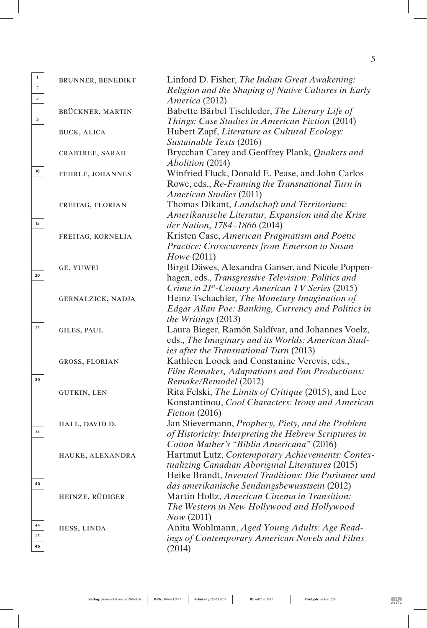| BRUNNER, BENEDIKT  | Linford D. Fisher, The Indian Great Awakening:<br>Religion and the Shaping of Native Cultures in Early<br>America (2012)                                                                                     |
|--------------------|--------------------------------------------------------------------------------------------------------------------------------------------------------------------------------------------------------------|
| BRÜCKNER, MARTIN   | Babette Bärbel Tischleder, The Literary Life of<br>Things: Case Studies in American Fiction (2014)                                                                                                           |
| BUCK, ALICA        | Hubert Zapf, Literature as Cultural Ecology:<br>Sustainable Texts (2016)                                                                                                                                     |
| CRABTREE, SARAH    | Brycchan Carey and Geoffrey Plank, Quakers and<br>Abolition (2014)                                                                                                                                           |
| FEHRLE, JOHANNES   | Winfried Fluck, Donald E. Pease, and John Carlos<br>Rowe, eds., Re-Framing the Transnational Turn in<br>American Studies (2011)                                                                              |
| FREITAG, FLORIAN   | Thomas Dikant, Landschaft und Territorium:<br>Amerikanische Literatur, Expansion und die Krise<br>der Nation, 1784-1866 (2014)                                                                               |
| FREITAG, KORNELIA  | Kristen Case, American Pragmatism and Poetic<br>Practice: Crosscurrents from Emerson to Susan<br><i>Howe</i> (2011)                                                                                          |
| GE, YUWEI          | Birgit Däwes, Alexandra Ganser, and Nicole Poppen-<br>hagen, eds., Transgressive Television: Politics and                                                                                                    |
| GERNALZICK, NADJA  | Crime in 21st-Century American TV Series (2015)<br>Heinz Tschachler, The Monetary Imagination of<br>Edgar Allan Poe: Banking, Currency and Politics in                                                       |
| GILES, PAUL        | <i>the Writings (2013)</i><br>Laura Bieger, Ramón Saldívar, and Johannes Voelz,<br>eds., The Imaginary and its Worlds: American Stud-                                                                        |
| GROSS, FLORIAN     | ies after the Transnational Turn (2013)<br>Kathleen Loock and Constanine Verevis, eds.,<br>Film Remakes, Adaptations and Fan Productions:                                                                    |
| <b>GUTKIN, LEN</b> | Remake/Remodel (2012)<br>Rita Felski, The Limits of Critique (2015), and Lee<br>Konstantinou, Cool Characters: Irony and American<br>Fiction (2016)                                                          |
| HALL, DAVID D.     | Jan Stievermann, Prophecy, Piety, and the Problem<br>of Historicity: Interpreting the Hebrew Scriptures in<br>Cotton Mather's "Biblia Americana" (2016)                                                      |
| HAUKE, ALEXANDRA   | Hartmut Lutz, Contemporary Achievements: Contex-<br>tualizing Canadian Aboriginal Literatures (2015)<br>Heike Brandt, Invented Traditions: Die Puritaner und<br>das amerikanische Sendungsbewusstsein (2012) |
| HEINZE, RÜDIGER    | Martin Holtz, American Cinema in Transition:<br>The Western in New Hollywood and Hollywood<br>Now (2011)                                                                                                     |
| HESS, LINDA        | Anita Wohlmann, Aged Young Adults: Age Read-<br>ings of Contemporary American Novels and Films<br>(2014)                                                                                                     |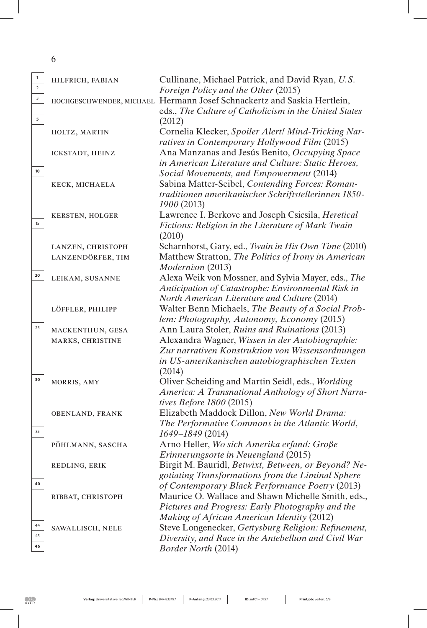| $\sqrt{2}$     | HILFRICH, FABIAN       | Cullinane, Michael Patrick, and David Ryan, U.S.                                                                                                                                                        |
|----------------|------------------------|---------------------------------------------------------------------------------------------------------------------------------------------------------------------------------------------------------|
| 3              |                        | Foreign Policy and the Other (2015)<br>HOCHGESCHWENDER, MICHAEL Hermann Josef Schnackertz and Saskia Hertlein,                                                                                          |
| $\sf 5$        |                        | eds., The Culture of Catholicism in the United States<br>(2012)                                                                                                                                         |
|                | HOLTZ, MARTIN          | Cornelia Klecker, Spoiler Alert! Mind-Tricking Nar-<br>ratives in Contemporary Hollywood Film (2015)                                                                                                    |
|                | ICKSTADT, HEINZ        | Ana Manzanas and Jesús Benito, Occupying Space<br>in American Literature and Culture: Static Heroes,                                                                                                    |
| 10             | KECK, MICHAELA         | Social Movements, and Empowerment (2014)<br>Sabina Matter-Seibel, Contending Forces: Roman-<br>traditionen amerikanischer Schriftstellerinnen 1850-<br>1900 (2013)                                      |
| 15             | <b>KERSTEN, HOLGER</b> | Lawrence I. Berkove and Joseph Csicsila, Heretical<br>Fictions: Religion in the Literature of Mark Twain<br>(2010)                                                                                      |
|                | LANZEN, CHRISTOPH      | Scharnhorst, Gary, ed., Twain in His Own Time (2010)                                                                                                                                                    |
|                | LANZENDÖRFER, TIM      | Matthew Stratton, The Politics of Irony in American<br>Modernism (2013)                                                                                                                                 |
| 20             | LEIKAM, SUSANNE        | Alexa Weik von Mossner, and Sylvia Mayer, eds., The<br>Anticipation of Catastrophe: Environmental Risk in                                                                                               |
|                | LÖFFLER, PHILIPP       | North American Literature and Culture (2014)<br>Walter Benn Michaels, The Beauty of a Social Prob-<br>lem: Photography, Autonomy, Economy (2015)                                                        |
| 25             | MACKENTHUN, GESA       | Ann Laura Stoler, Ruins and Ruinations (2013)                                                                                                                                                           |
|                | MARKS, CHRISTINE       | Alexandra Wagner, Wissen in der Autobiographie:<br>Zur narrativen Konstruktion von Wissensordnungen<br>in US-amerikanischen autobiographischen Texten<br>(2014)                                         |
| 30             | MORRIS, AMY            | Oliver Scheiding and Martin Seidl, eds., Worlding<br>America: A Transnational Anthology of Short Narra-<br>tives Before 1800 (2015)                                                                     |
|                | OBENLAND, FRANK        | Elizabeth Maddock Dillon, New World Drama:<br>The Performative Commons in the Atlantic World,                                                                                                           |
| 35             | PÖHLMANN, SASCHA       | 1649-1849 (2014)<br>Arno Heller, Wo sich Amerika erfand: Große<br>Erinnerungsorte in Neuengland (2015)                                                                                                  |
|                | REDLING, ERIK          | Birgit M. Bauridl, Betwixt, Between, or Beyond? Ne-<br>gotiating Transformations from the Liminal Sphere                                                                                                |
| 40             | RIBBAT, CHRISTOPH      | of Contemporary Black Performance Poetry (2013)<br>Maurice O. Wallace and Shawn Michelle Smith, eds.,<br>Pictures and Progress: Early Photography and the<br>Making of African American Identity (2012) |
| 44<br>45<br>46 | SAWALLISCH, NELE       | Steve Longenecker, Gettysburg Religion: Refinement,<br>Diversity, and Race in the Antebellum and Civil War<br>Border North (2014)                                                                       |
|                |                        |                                                                                                                                                                                                         |

6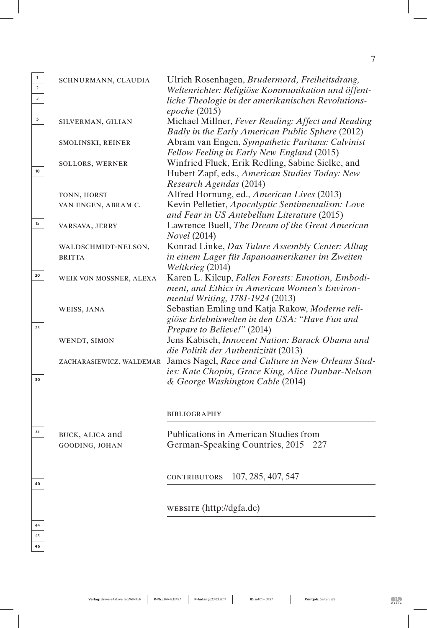| SCHNURMANN, CLAUDIA      | Ulrich Rosenhagen, Brudermord, Freiheitsdrang,<br>Weltenrichter: Religiöse Kommunikation und öffent-<br>liche Theologie in der amerikanischen Revolutions-<br>epoche (2015) |
|--------------------------|-----------------------------------------------------------------------------------------------------------------------------------------------------------------------------|
| SILVERMAN, GILIAN        | Michael Millner, Fever Reading: Affect and Reading<br>Badly in the Early American Public Sphere (2012)                                                                      |
| SMOLINSKI, REINER        | Abram van Engen, Sympathetic Puritans: Calvinist<br>Fellow Feeling in Early New England (2015)                                                                              |
| <b>SOLLORS, WERNER</b>   | Winfried Fluck, Erik Redling, Sabine Sielke, and<br>Hubert Zapf, eds., American Studies Today: New<br>Research Agendas (2014)                                               |
| TONN, HORST              | Alfred Hornung, ed., American Lives (2013)                                                                                                                                  |
| VAN ENGEN, ABRAM C.      | Kevin Pelletier, Apocalyptic Sentimentalism: Love<br>and Fear in US Antebellum Literature (2015)                                                                            |
| VARSAVA, JERRY           | Lawrence Buell, The Dream of the Great American<br>Novel (2014)                                                                                                             |
| WALDSCHMIDT-NELSON,      | Konrad Linke, Das Tulare Assembly Center: Alltag                                                                                                                            |
| <b>BRITTA</b>            | in einem Lager für Japanoamerikaner im Zweiten<br>Weltkrieg (2014)                                                                                                          |
| WEIK VON MOSSNER, ALEXA  | Karen L. Kilcup, Fallen Forests: Emotion, Embodi-<br>ment, and Ethics in American Women's Environ-<br>mental Writing, 1781-1924 (2013)                                      |
| WEISS, JANA              | Sebastian Emling und Katja Rakow, Moderne reli-<br>giöse Erlebniswelten in den USA: "Have Fun and<br>Prepare to Believe!" (2014)                                            |
| WENDT, SIMON             | Jens Kabisch, Innocent Nation: Barack Obama und<br>die Politik der Authentizität (2013)                                                                                     |
| ZACHARASIEWICZ, WALDEMAR | James Nagel, Race and Culture in New Orleans Stud-<br>ies: Kate Chopin, Grace King, Alice Dunbar-Nelson<br>& George Washington Cable (2014)                                 |
|                          |                                                                                                                                                                             |

## **BIBLIOGRAPHY**

buck, alica and Publications in American Studies from GOODING, JOHAN German-Speaking Countries, 2015 227

contributors 107, 285, 407, 547

website (http://dgfa.de)